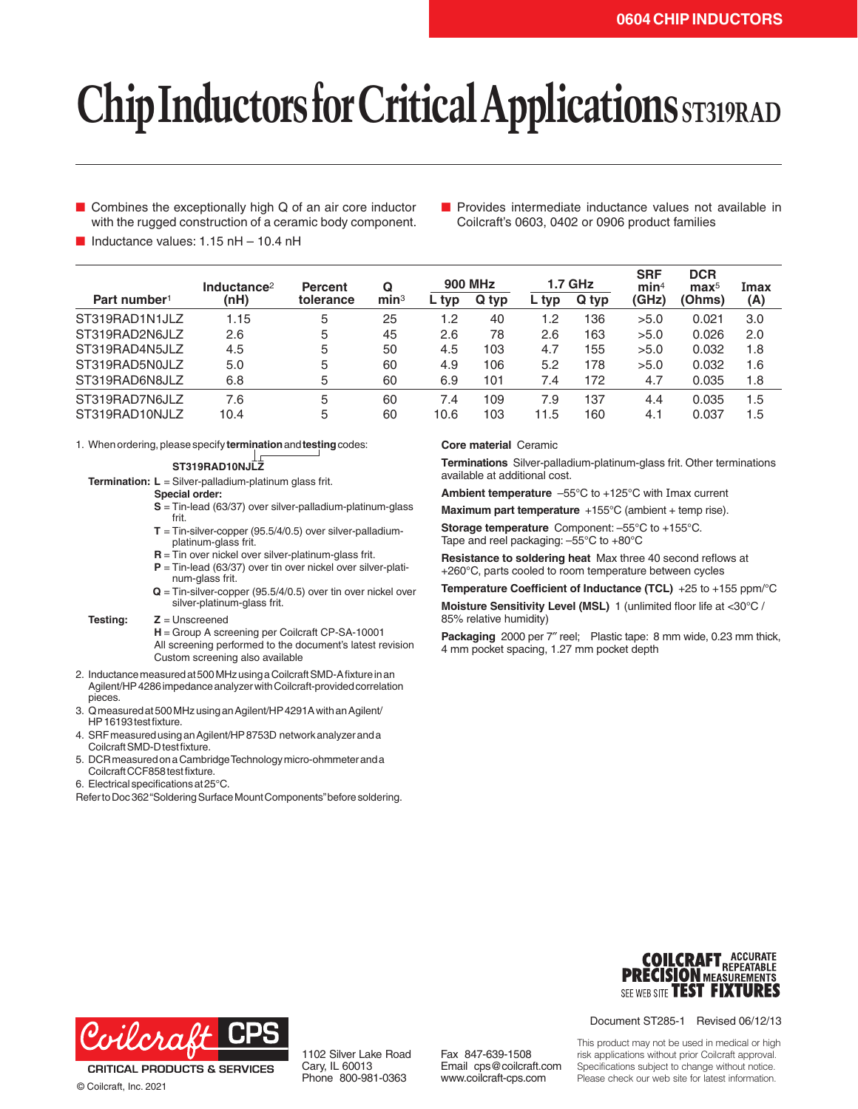# **Chip Inductors for Critical Applications** ST319RAD

- Combines the exceptionally high Q of an air core inductor with the rugged construction of a ceramic body component.
- Provides intermediate inductance values not available in Coilcraft's 0603, 0402 or 0906 product families

 $\blacksquare$  Inductance values: 1.15 nH – 10.4 nH

|                          | Inductance <sup>2</sup> | <b>Percent</b> | Q                | <b>900 MHz</b> |       | <b>1.7 GHz</b> |       | <b>SRF</b><br>min <sup>4</sup> | <b>DCR</b><br>$\mathbf{max}^5$ | Imax |
|--------------------------|-------------------------|----------------|------------------|----------------|-------|----------------|-------|--------------------------------|--------------------------------|------|
| Part number <sup>1</sup> | (nH)                    | tolerance      | min <sup>3</sup> | ∟ typ          | Q typ | typ            | Q typ | (GHz)                          | (Ohms)                         | (A)  |
| ST319RAD1N1JLZ           | 1.15                    | 5              | 25               | 1.2            | 40    | 1.2            | 136   | >5.0                           | 0.021                          | 3.0  |
| ST319RAD2N6JLZ           | 2.6                     | 5              | 45               | 2.6            | 78    | 2.6            | 163   | >5.0                           | 0.026                          | 2.0  |
| ST319RAD4N5JLZ           | 4.5                     | 5              | 50               | 4.5            | 103   | 4.7            | 155   | >5.0                           | 0.032                          | 1.8  |
| ST319RAD5N0JLZ           | 5.0                     | 5              | 60               | 4.9            | 106   | 5.2            | 178   | >5.0                           | 0.032                          | 1.6  |
| ST319RAD6N8JLZ           | 6.8                     | 5              | 60               | 6.9            | 101   | 7.4            | 172   | 4.7                            | 0.035                          | 1.8  |
| ST319RAD7N6JLZ           | 7.6                     | 5              | 60               | 7.4            | 109   | 7.9            | 137   | 4.4                            | 0.035                          | 1.5  |
| ST319RAD10NJLZ           | 10.4                    | 5              | 60               | 10.6           | 103   | 11.5           | 160   | 4.1                            | 0.037                          | 1.5  |

1. When ordering, please specify **termination** and **testing** codes:

**ST319RAD10NJLZ**

**Termination: L** = Silver-palladium-platinum glass frit.

**Special order:**

- **S** = Tin-lead (63/37) over silver-palladium-platinum-glass frit.
- **T** = Tin-silver-copper (95.5/4/0.5) over silver-palladiumplatinum-glass frit.
- **R** = Tin over nickel over silver-platinum-glass frit.
- **P** = Tin-lead (63/37) over tin over nickel over silver-platinum-glass frit.
- **Q** = Tin-silver-copper (95.5/4/0.5) over tin over nickel over silver-platinum-glass frit.

#### **Testing: Z** = Unscreened

**H** = Group A screening per Coilcraft CP-SA-10001 All screening performed to the document's latest revision Custom screening also available

- 2. Inductance measured at 500 MHz using a Coilcraft SMD-A fixture in an Agilent/HP4286 impedance analyzer with Coilcraft-provided correlation pieces.
- 3. Q measured at 500 MHz using an Agilent/HP4291A with an Agilent/ HP16193 test fixture.
- 4. SRF measured using an Agilent/HP8753D network analyzer and a Coilcraft SMD -D test fixture.
- 5. DCR measured on a Cambridge Technology micro-ohmmeter and a Coilcraft CCF858 test fixture.
- 6. Electrical specifications at 25°C.

Refer to Doc 362 "Soldering Surface Mount Components" before soldering.

### **Core material** Ceramic

**Terminations** Silver-palladium-platinum-glass frit. Other terminations available at additional cost.

**Ambient temperature** –55°C to +125°C with Imax current

**Maximum part temperature** +155°C (ambient + temp rise).

**Storage temperature** Component: –55°C to +155°C. Tape and reel packaging: –55°C to +80°C

**Resistance to soldering heat** Max three 40 second reflows at +260°C, parts cooled to room temperature between cycles

**Temperature Coefficient of Inductance (TCL)** +25 to +155 ppm/°C

**Moisture Sensitivity Level (MSL)** 1 (unlimited floor life at <30°C / 85% relative humidity)

**Packaging** 2000 per 7″ reel; Plastic tape: 8 mm wide, 0.23 mm thick, 4 mm pocket spacing, 1.27 mm pocket depth





**CRITICAL PRODUCTS & SERVICES** © Coilcraft, Inc. 2021

1102 Silver Lake Road Cary, IL 60013 Phone 800-981-0363

Fax 847-639-1508 Email cps@coilcraft.com www.coilcraft-cps.com

This product may not be used in medical or high risk applications without prior Coilcraft approval. Specifications subject to change without notice. Please check our web site for latest information.

Document ST285-1 Revised 06/12/13